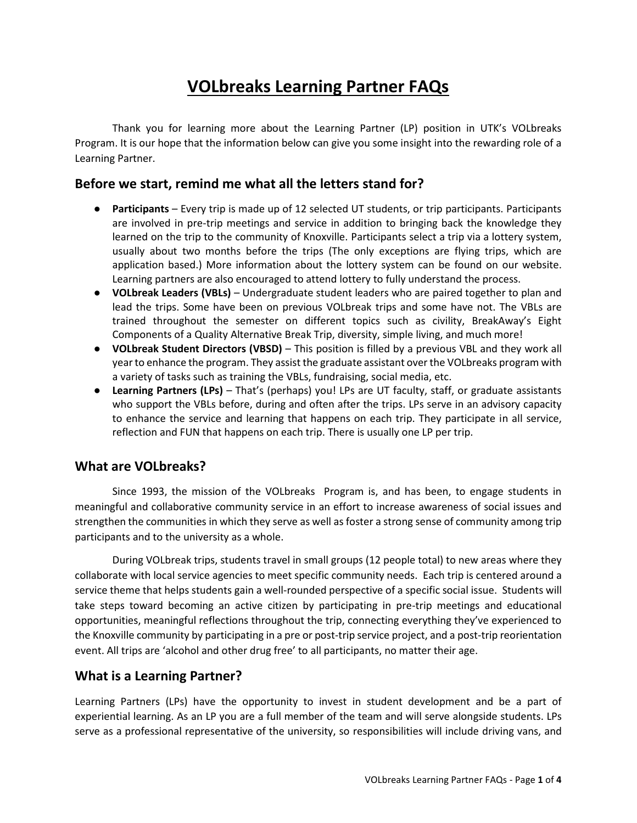# **VOLbreaks Learning Partner FAQs**

Thank you for learning more about the Learning Partner (LP) position in UTK's VOLbreaks Program. It is our hope that the information below can give you some insight into the rewarding role of a Learning Partner.

#### **Before we start, remind me what all the letters stand for?**

- **Participants**  Every trip is made up of 12 selected UT students, or trip participants. Participants are involved in pre-trip meetings and service in addition to bringing back the knowledge they learned on the trip to the community of Knoxville. Participants select a trip via a lottery system, usually about two months before the trips (The only exceptions are flying trips, which are application based.) More information about the lottery system can be found on our website. Learning partners are also encouraged to attend lottery to fully understand the process.
- **VOLbreak Leaders (VBLs)**  Undergraduate student leaders who are paired together to plan and lead the trips. Some have been on previous VOLbreak trips and some have not. The VBLs are trained throughout the semester on different topics such as civility, BreakAway's Eight Components of a Quality Alternative Break Trip, diversity, simple living, and much more!
- **VOLbreak Student Directors (VBSD)**  This position is filled by a previous VBL and they work all year to enhance the program. They assist the graduate assistant over the VOLbreaks program with a variety of tasks such as training the VBLs, fundraising, social media, etc.
- **Learning Partners (LPs)**  That's (perhaps) you! LPs are UT faculty, staff, or graduate assistants who support the VBLs before, during and often after the trips. LPs serve in an advisory capacity to enhance the service and learning that happens on each trip. They participate in all service, reflection and FUN that happens on each trip. There is usually one LP per trip.

#### **What are VOLbreaks?**

Since 1993, the mission of the VOLbreaks Program is, and has been, to engage students in meaningful and collaborative community service in an effort to increase awareness of social issues and strengthen the communities in which they serve as well as foster a strong sense of community among trip participants and to the university as a whole.

During VOLbreak trips, students travel in small groups (12 people total) to new areas where they collaborate with local service agencies to meet specific community needs. Each trip is centered around a service theme that helps students gain a well-rounded perspective of a specific social issue. Students will take steps toward becoming an active citizen by participating in pre-trip meetings and educational opportunities, meaningful reflections throughout the trip, connecting everything they've experienced to the Knoxville community by participating in a pre or post-trip service project, and a post-trip reorientation event. All trips are 'alcohol and other drug free' to all participants, no matter their age.

#### **What is a Learning Partner?**

Learning Partners (LPs) have the opportunity to invest in student development and be a part of experiential learning. As an LP you are a full member of the team and will serve alongside students. LPs serve as a professional representative of the university, so responsibilities will include driving vans, and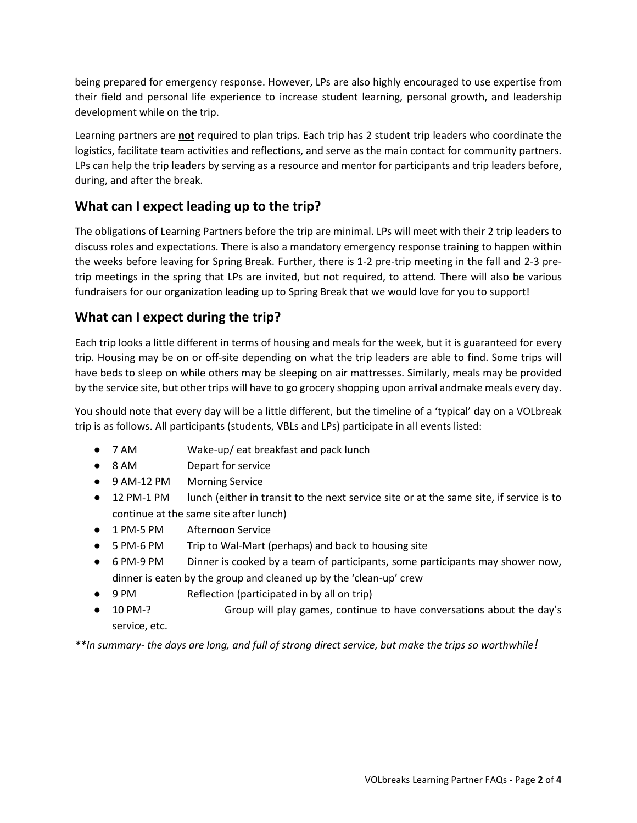being prepared for emergency response. However, LPs are also highly encouraged to use expertise from their field and personal life experience to increase student learning, personal growth, and leadership development while on the trip.

Learning partners are **not** required to plan trips. Each trip has 2 student trip leaders who coordinate the logistics, facilitate team activities and reflections, and serve as the main contact for community partners. LPs can help the trip leaders by serving as a resource and mentor for participants and trip leaders before, during, and after the break.

## **What can I expect leading up to the trip?**

The obligations of Learning Partners before the trip are minimal. LPs will meet with their 2 trip leaders to discuss roles and expectations. There is also a mandatory emergency response training to happen within the weeks before leaving for Spring Break. Further, there is 1-2 pre-trip meeting in the fall and 2-3 pretrip meetings in the spring that LPs are invited, but not required, to attend. There will also be various fundraisers for our organization leading up to Spring Break that we would love for you to support!

## **What can I expect during the trip?**

Each trip looks a little different in terms of housing and meals for the week, but it is guaranteed for every trip. Housing may be on or off-site depending on what the trip leaders are able to find. Some trips will have beds to sleep on while others may be sleeping on air mattresses. Similarly, meals may be provided by the service site, but other trips will have to go grocery shopping upon arrival andmake meals every day.

You should note that every day will be a little different, but the timeline of a 'typical' day on a VOLbreak trip is as follows. All participants (students, VBLs and LPs) participate in all events listed:

- 7 AM Wake-up/ eat breakfast and pack lunch
- 8 AM Depart for service
- 9 AM-12 PM Morning Service
- 12 PM-1 PM lunch (either in transit to the next service site or at the same site, if service is to continue at the same site after lunch)
- 1 PM-5 PM Afternoon Service
- 5 PM-6 PM Trip to Wal-Mart (perhaps) and back to housing site
- 6 PM-9 PM Dinner is cooked by a team of participants, some participants may shower now, dinner is eaten by the group and cleaned up by the 'clean-up' crew
- 9 PM Reflection (participated in by all on trip)
- 10 PM-? Group will play games, continue to have conversations about the day's service, etc.

*\*\*In summary- the days are long, and full of strong direct service, but make the trips so worthwhile!*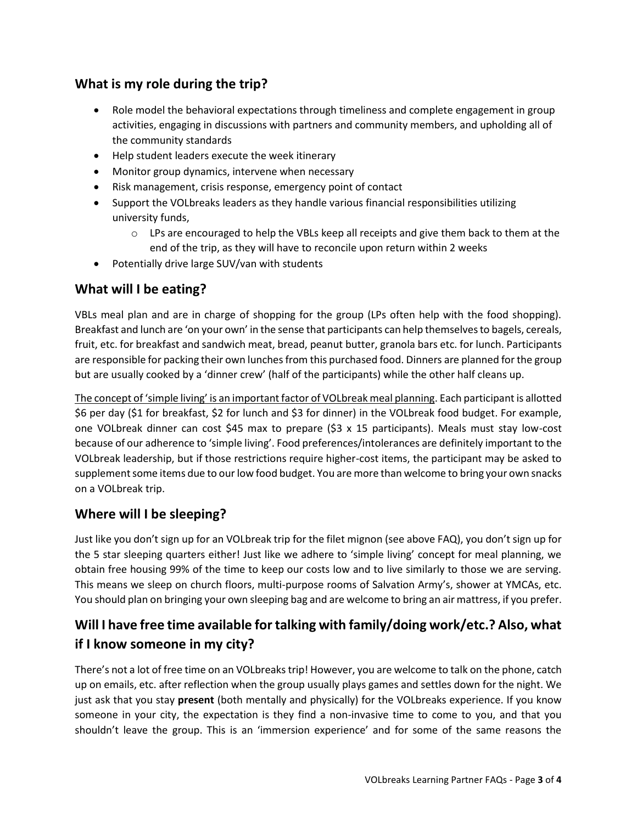## **What is my role during the trip?**

- Role model the behavioral expectations through timeliness and complete engagement in group activities, engaging in discussions with partners and community members, and upholding all of the community standards
- Help student leaders execute the week itinerary
- Monitor group dynamics, intervene when necessary
- Risk management, crisis response, emergency point of contact
- Support the VOLbreaks leaders as they handle various financial responsibilities utilizing university funds,
	- $\circ$  LPs are encouraged to help the VBLs keep all receipts and give them back to them at the end of the trip, as they will have to reconcile upon return within 2 weeks
- Potentially drive large SUV/van with students

#### **What will I be eating?**

VBLs meal plan and are in charge of shopping for the group (LPs often help with the food shopping). Breakfast and lunch are 'on your own' in the sense that participants can help themselves to bagels, cereals, fruit, etc. for breakfast and sandwich meat, bread, peanut butter, granola bars etc. for lunch. Participants are responsible for packing their own lunches from this purchased food. Dinners are planned for the group but are usually cooked by a 'dinner crew' (half of the participants) while the other half cleans up.

The concept of 'simple living' is an important factor of VOLbreak meal planning. Each participant is allotted \$6 per day (\$1 for breakfast, \$2 for lunch and \$3 for dinner) in the VOLbreak food budget. For example, one VOLbreak dinner can cost \$45 max to prepare (\$3 x 15 participants). Meals must stay low-cost because of our adherence to 'simple living'. Food preferences/intolerances are definitely important to the VOLbreak leadership, but if those restrictions require higher-cost items, the participant may be asked to supplement some items due to our low food budget. You are more than welcome to bring your own snacks on a VOLbreak trip.

## **Where will I be sleeping?**

Just like you don't sign up for an VOLbreak trip for the filet mignon (see above FAQ), you don't sign up for the 5 star sleeping quarters either! Just like we adhere to 'simple living' concept for meal planning, we obtain free housing 99% of the time to keep our costs low and to live similarly to those we are serving. This means we sleep on church floors, multi-purpose rooms of Salvation Army's, shower at YMCAs, etc. You should plan on bringing your own sleeping bag and are welcome to bring an air mattress, if you prefer.

# **Will I have free time available for talking with family/doing work/etc.? Also, what if I know someone in my city?**

There's not a lot of free time on an VOLbreaks trip! However, you are welcome to talk on the phone, catch up on emails, etc. after reflection when the group usually plays games and settles down for the night. We just ask that you stay **present** (both mentally and physically) for the VOLbreaks experience. If you know someone in your city, the expectation is they find a non-invasive time to come to you, and that you shouldn't leave the group. This is an 'immersion experience' and for some of the same reasons the